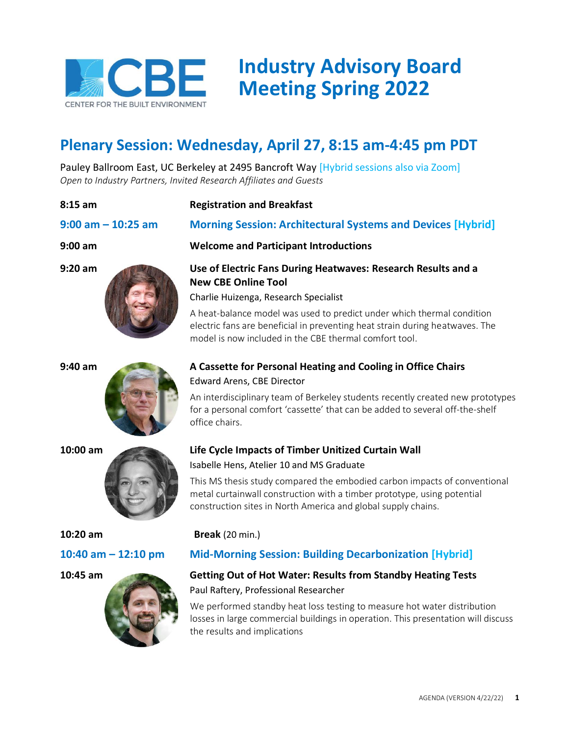

# **Industry Advisory Board Meeting Spring 2022**

## **Plenary Session: Wednesday, April 27, 8:15 am-4:45 pm PDT**

Pauley Ballroom East, UC Berkeley at 2495 Bancroft Way [Hybrid sessions also via Zoom] *Open to Industry Partners, Invited Research Affiliates and Guests*

### **8:15 am Registration and Breakfast**











# **9:00 am – 10:25 am Morning Session: Architectural Systems and Devices [Hybrid]**

### **9:00 am Welcome and Participant Introductions**

### **9:20 am Use of Electric Fans During Heatwaves: Research Results and a New CBE Online Tool**

Charlie Huizenga, Research Specialist

A heat-balance model was used to predict under which thermal condition electric fans are beneficial in preventing heat strain during heatwaves. The model is now included in the CBE thermal comfort tool.

### **9:40 am A Cassette for Personal Heating and Cooling in Office Chairs** Edward Arens, CBE Director

An interdisciplinary team of Berkeley students recently created new prototypes for a personal comfort 'cassette' that can be added to several off-the-shelf office chairs.

### **10:00 am Life Cycle Impacts of Timber Unitized Curtain Wall** Isabelle Hens, Atelier 10 and MS Graduate

This MS thesis study compared the embodied carbon impacts of conventional metal curtainwall construction with a timber prototype, using potential construction sites in North America and global supply chains.

### **10:20 am Break** (20 min.)

### **10:40 am – 12:10 pm Mid-Morning Session: Building Decarbonization [Hybrid]**

### **10:45 am Getting Out of Hot Water: Results from Standby Heating Tests** Paul Raftery, Professional Researcher

We performed standby heat loss testing to measure hot water distribution losses in large commercial buildings in operation. This presentation will discuss the results and implications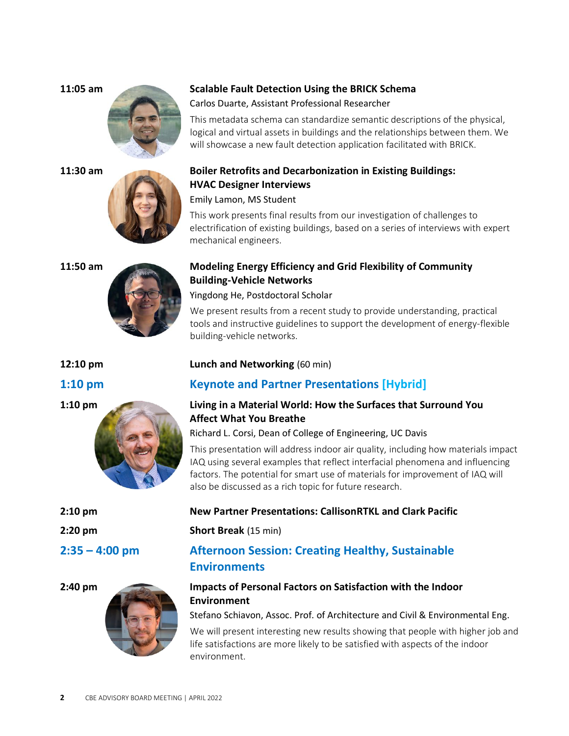













### **11:05 am Scalable Fault Detection Using the BRICK Schema**

Carlos Duarte, Assistant Professional Researcher

This metadata schema can standardize semantic descriptions of the physical, logical and virtual assets in buildings and the relationships between them. We will showcase a new fault detection application facilitated with BRICK.

### **11:30 am Boiler Retrofits and Decarbonization in Existing Buildings: HVAC Designer Interviews**

Emily Lamon, MS Student

This work presents final results from our investigation of challenges to electrification of existing buildings, based on a series of interviews with expert mechanical engineers.

### **11:50 am Modeling Energy Efficiency and Grid Flexibility of Community Building-Vehicle Networks**

Yingdong He, Postdoctoral Scholar

We present results from a recent study to provide understanding, practical tools and instructive guidelines to support the development of energy-flexible building-vehicle networks.

### **12:10 pm Lunch and Networking** (60 min)

### **1:10 pm Keynote and Partner Presentations [Hybrid]**

### **1:10 pm Living in a Material World: How the Surfaces that Surround You Affect What You Breathe**

Richard L. Corsi, Dean of College of Engineering, UC Davis

This presentation will address indoor air quality, including how materials impact IAQ using several examples that reflect interfacial phenomena and influencing factors. The potential for smart use of materials for improvement of IAQ will also be discussed as a rich topic for future research.

### **2:10 pm New Partner Presentations: CallisonRTKL and Clark Pacific**

**2:20 pm Short Break** (15 min)

### **2:35 – 4:00 pm Afternoon Session: Creating Healthy, Sustainable Environments**

### **2:40 pm Impacts of Personal Factors on Satisfaction with the Indoor Environment**

Stefano Schiavon, Assoc. Prof. of Architecture and Civil & Environmental Eng.

We will present interesting new results showing that people with higher job and life satisfactions are more likely to be satisfied with aspects of the indoor environment.